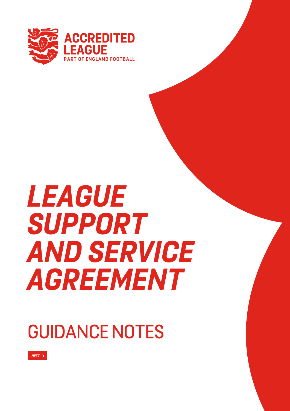

# *LEAGUE SUPPORT AND SERVICE AGREEMENT*

# GUIDANCE NOTES

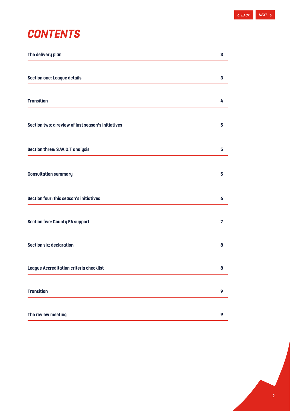# *CONTENTS*

| The delivery plan                                  | 3 |
|----------------------------------------------------|---|
| <b>Section one: League details</b>                 | 3 |
| <b>Transition</b>                                  | 4 |
| Section two: a review of last season's initiatives | 5 |
| Section three: S.W.O.T analysis                    | 5 |
| <b>Consultation summary</b>                        | 5 |
| Section four: this season's initiatives            | 6 |
| <b>Section five: County FA support</b>             | 7 |
| <b>Section six: declaration</b>                    | 8 |
| League Accreditation criteria checklist            | 8 |
| <b>Transition</b>                                  | 9 |
| The review meeting                                 | 9 |

2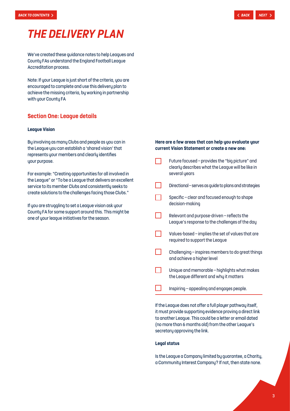# <span id="page-2-0"></span>*THE DELIVERY PLAN*

We've created these guidance notes to help Leagues and County FAs understand the England Football League Accreditation process.

Note: If your League is just short of the criteria, you are encouraged to complete and use this delivery plan to achieve the missing criteria, by working in partnership with your County FA

### **Section One: League details**

### **League Vision**

By involving as many Clubs and people as you can in the League you can establish a 'shared vision' that represents your members and clearly identifies your purpose.

For example: "Creating opportunities for all involved in the League" or "To be a League that delivers an excellent service to its member Clubs and consistently seeks to create solutions to the challenges facing those Clubs."

If you are struggling to set a League vision ask your County FA for some support around this. This might be one of your league initiatives for the season.

### **Here are a few areas that can help you evaluate your current Vision Statement or create a new one:**

Future focused – provides the "big picture" and  $\Box$ clearly describes what the League will be like in several years ┓ Directional – serves as guide to plans and strategies Specific – clear and focused enough to shape decision-making Relevant and purpose-driven – reflects the League's response to the challenges of the day Values-based – implies the set of values that are required to support the League Challenging – inspires members to do great things l I and achieve a higher level

- Unique and memorable highlights what makes the League different and why it matters
- Inspiring appealing and engages people.

If the League does not offer a full player pathway itself, it must provide supporting evidence proving a direct link to another League. This could be a letter or email dated (no more than 6 months old) from the other League's secretary approving the link.

### **Legal status**

Is the League a Company limited by guarantee, a Charity, a Community Interest Company? If not, then state none.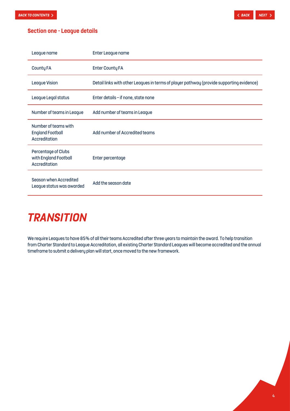<span id="page-3-0"></span>

### **Section one - League details**

| League name                                                      | Enter League name                                                                        |
|------------------------------------------------------------------|------------------------------------------------------------------------------------------|
| County FA                                                        | <b>Enter County FA</b>                                                                   |
| <b>League Vision</b>                                             | Detail links with other Leagues in terms of player pathway (provide supporting evidence) |
| League Legal status                                              | Enter details - if none, state none                                                      |
| Number of teams in League                                        | Add number of teams in League                                                            |
| Number of teams with<br><b>England Football</b><br>Accreditation | Add number of Accredited teams                                                           |
| Percentage of Clubs<br>with England Football<br>Accreditation    | Enter percentage                                                                         |
| Season when Accredited<br>League status was awarded              | Add the season date                                                                      |

# *TRANSITION*

We require Leagues to have 85% of all their teams Accredited after three years to maintain the award. To help transition from Charter Standard to League Accreditation, all existing Charter Standard Leagues will become accredited and the annual timeframe to submit a delivery plan will start, once moved to the new framework.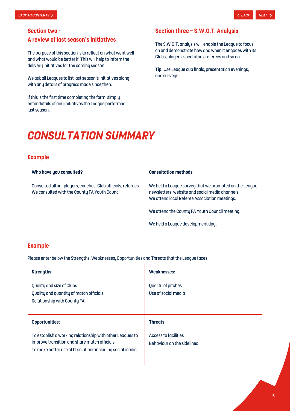### <span id="page-4-0"></span>**Section two -**

### **A review of last season's initiatives**

The purpose of this section is to reflect on what went well and what would be better if. This will help to inform the delivery initiatives for the coming season.

We ask all Leagues to list last season's initiatives along with any details of progress made since then.

If this is the first time completing the form, simply enter details of any initiatives the League performed last season.

### **Section three – S.W.O.T. Analysis**

The S.W.O.T. analysis will enable the League to focus on and demonstrate how and when it engages with its Clubs, players, spectators, referees and so on.

**Tip:** Use League cup finals, presentation evenings, and surveys.

## *CONSULTATION SUMMARY*

### **Example**

**Who have you consulted? Consultation methods** 

Consulted all our players, coaches, Club officials, referees. We consulted with the County FA Youth Council

We held a League survey that we promoted on the League newsletters, website and social media channels. We attend local Referee Association meetings.

We attend the County FA Youth Council meeting.

We held a League development day.

### **Example**

Please enter below the Strengths, Weaknesses, Opportunities and Threats that the League faces:

| <b>Strengths:</b>                                                                                   | Weaknesses:                               |
|-----------------------------------------------------------------------------------------------------|-------------------------------------------|
| Quality and size of Clubs<br>Quality and quantity of match officials<br>Relationship with County FA | Quality of pitches<br>Use of social media |
|                                                                                                     |                                           |
| <b>Opportunities:</b>                                                                               | Threats:                                  |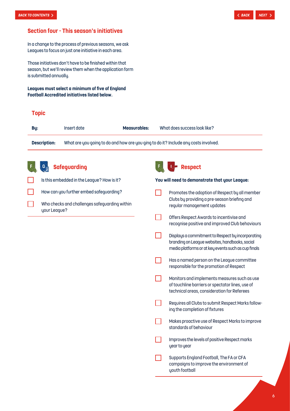### <span id="page-5-0"></span>**Section four - This season's initiatives**

In a change to the process of previous seasons, we ask Leagues to focus on just one initiative in each area.

Those initiatives don't have to be finished within that season, but we'll review them when the application form is submitted annually.

**Leagues must select a minimum of five of England Football Accredited initiatives listed below.**

|                                                                                                            | <u>ootoan mooroantoa mituativoo notoa oolow.</u> |                                               |              |  |                                                                            |  |
|------------------------------------------------------------------------------------------------------------|--------------------------------------------------|-----------------------------------------------|--------------|--|----------------------------------------------------------------------------|--|
| <b>Topic</b>                                                                                               |                                                  |                                               |              |  |                                                                            |  |
| By:                                                                                                        |                                                  | Insert date                                   | Measurables: |  | What does success look like?                                               |  |
| <b>Description:</b><br>What are you going to do and how are you ging to do it? Include any costs involved. |                                                  |                                               |              |  |                                                                            |  |
|                                                                                                            |                                                  | <b>Safeguarding</b>                           |              |  | <b>Respect</b>                                                             |  |
|                                                                                                            |                                                  | Is this embedded in the League? How is it?    |              |  | You will need to demonstrate that your League:                             |  |
|                                                                                                            |                                                  | How can you further embed safeguarding?       |              |  | Promotes the adoption of Respect by all member                             |  |
|                                                                                                            | your League?                                     | Who checks and challenges safeguarding within |              |  | Clubs by providing a pre-season briefing and<br>regular management updates |  |

H

 $\Box$ 

 $\Box$ 

Offers Respect Awards to incentivise and

recognise positive and improved Club behaviours

Displays a commitment to Respect by incorporating branding on League websites, handbooks, social media platforms or at key events such as cup finals

Has a named person on the League committee responsible for the promotion of Respect

Monitors and implements measures such as use of touchline barriers or spectator lines, use of technical areas, consideration for Referees

Requires all Clubs to submit Respect Marks follow-

Makes proactive use of Respect Marks to improve

Improves the levels of positive Respect marks

Supports England Football, The FA or CFA campaigns to improve the environment of

ing the completion of fixtures

standards of behaviour

year to year

youth football

6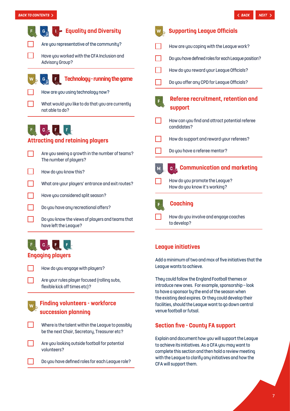<span id="page-6-0"></span>

# **C<sub>O</sub>**F

### **Engaging players**

How do you engage with players?

Are your rules player focused (rolling subs, flexible kick off times etc)?

### **Finding volunteers - workforce succession planning**

Where is the talent within the League to possibly be the next Chair, Secretary, Treasurer etc?

Are you looking outside football for potential volunteers?

Do you have defined roles for each League role?

### **League initiatives**

Add a minimum of two and max of five initiatives that the League wants to achieve.

They could follow the England Football themes or introduce new ones. For example, sponsorship – look to have a sponsor by the end of the season when the existing deal expires. Or they could develop their facilities, should the League want to go down central venue football or futsal.

### **Section five - County FA support**

Explain and document how you will support the League to achieve its initiatives. As a CFA you may want to complete this section and then hold a review meeting with the League to clarify any initiatives and how the CFA will support them.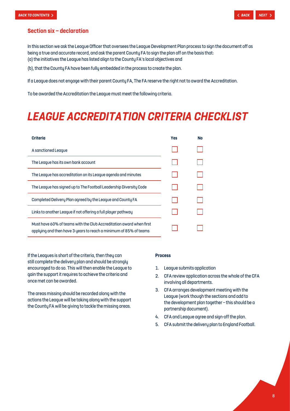### <span id="page-7-0"></span>**Section six – declaration**

In this section we ask the League Officer that oversees the League Development Plan process to sign the document off as being a true and accurate record, and ask the parent County FA to sign the plan off on the basis that: (a) the initiatives the League has listed align to the County FA's local objectives and

(b), that the County FA have been fully embedded in the process to create the plan.

If a League does not engage with their parent County FA, The FA reserve the right not to award the Accreditation.

To be awarded the Accreditation the League must meet the following criteria.

# *LEAGUE ACCREDITATION CRITERIA CHECKLIST*

| <b>Criteria</b>                                                                                                                          | <b>Yes</b> | <b>No</b> |
|------------------------------------------------------------------------------------------------------------------------------------------|------------|-----------|
| A sanctioned League                                                                                                                      |            |           |
| The League has its own bank account                                                                                                      |            |           |
| The League has accreditation on its League agenda and minutes                                                                            |            |           |
| The League has signed up to The Football Leadership Diversity Code                                                                       |            |           |
| Completed Delivery Plan agreed by the League and County FA                                                                               |            |           |
| Links to another League if not offering a full player pathway                                                                            |            |           |
| Must have 60% of teams with the Club Accreditation award when first<br>applying and then have 3 years to reach a minimum of 85% of teams |            |           |

If the Leagues is short of the criteria, then they can still complete the delivery plan and should be strongly encouraged to do so. This will then enable the League to gain the support it requires to achieve the criteria and once met can be awarded.

The areas missing should be recorded along with the actions the League will be taking along with the support the County FA will be giving to tackle the missing areas.

### **Process**

- 1. League submits application
- 2. CFA review application across the whole of the CFA involving all departments.
- 3. CFA arranges development meeting with the League (work though the sections and add to the development plan together – this should be a partnership document).
- 4. CFA and League agree and sign-off the plan.
- 5. CFA submit the delivery plan to England Football.